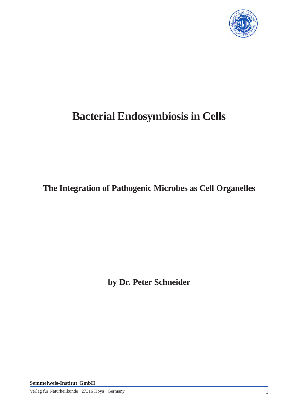

# **Bacterial Endosymbiosis in Cells**

**The Integration of Pathogenic Microbes as Cell Organelles**

**by Dr. Peter Schneider**

**Semmelweis-Institut GmbH**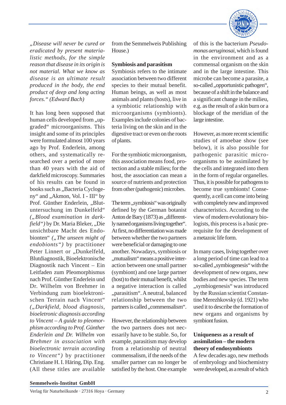

*"Disease will never be cured or eradicated by present materialistic methods, for the simple reason that disease in its origin is not material. What we know as disease is an ultimate result produced in the body, the end product of deep and long acting forces." (Edward Bach)*

It has long been supposed that human cells developed from "upgraded" microorganisms. This insight and some of its principles were formulated almost 100 years ago by Prof. Enderlein, among others, and systematically researched over a period of more than 40 years with the aid of darkfield microscopy. Summaries of his results can be found in books such as "Bacteria Cyclogeny" and "Akmon, Vol. I - III" by Prof. Günther Enderlein, "Blutuntersuchung im Dunkelfeld" *("Blood examination in darkfield"*) by Dr. Maria Bleker, "Die unsichtbare Macht des Endobionten" ("The unseen might of *endobionts")* by practitioner Peter Linnert or "Dunkelfeld, Blutdiagnostik, Bioelektronische Diagnostik nach Vincent – Ein Leitfaden zum Pleomorphismus nach Prof. Günther Enderlein und Dr. Wilhelm von Brehmer in Verbindung zum bioelektronischen Terrain nach Vincent" *("Darkfield, blood diagnosis, bioeletronic diagnosis according to Vincent – A guide to pleomorphism according to Prof. Günther Enderlein and Dr. Wilhelm von Brehmer in association with bioelectronic terrain according to Vincent")* by practitioner Christiane H. I. Häring, Dip. Eng. (All these titles are available

from the Semmelweis Publishing House.)

#### **Symbiosis and parasitism**

Symbiosis refers to the intimate association between two different species to their mutual benefit. Human beings, as well as most animals and plants (hosts), live in a symbiotic relationship with microorganisms (symbionts). Examples include colonies of bacteria living on the skin and in the digestive tract or even on the roots of plants.

For the symbiotic microorganism, this association means food, protection and a stable milieu; for the host, the association can mean a source of nutrients and protection from other (pathogenic) microbes.

The term, symbiosis" was originally defined by the German botanist Anton de Bary (1873) as "differently named organisms living together". At first, no differentiation was made between whether the two partners were beneficial or damaging to one another. Nowadays, symbiosis or ., mutualism "means a positive interaction between one small partner (symbiont) and one large partner (host) to their mutual benefit, whilst a negative interaction is called "parasitism". A neutral, balanced relationship between the two partners is called , commensalism".

However, the relationship between the two partners does not necessarily have to be stable. So, for example, parasitism may develop from a relationship of neutral commensalism, if the needs of the smaller partner can no longer be satisfied by the host. One example

of this is the bacterium *Pseudomonas aeruginosai*, which is found in the environment and as a commensal organism on the skin and in the large intestine. This microbe can become a parasite, a so-called ,,opportunistic pathogen", because of a shift in the balance and a significant change in the milieu, e.g. as the result of a skin burn or a blockage of the meridian of the large intestine.

However, as more recent scientific studies of amoebae show (see below), it is also possible for pathogenic parasitic microorganisms to be assimilated by the cells and integrated into them in the form of regular organelles. Thus, it is possible for pathogens to become true symbionts! Consequently, a cell can come into being with completely new and improved characteristics. According to the view of modern evolutionary biologists, this process is a basic prerequisite for the development of a metazoic life form.

In many cases, living together over a long period of time can lead to a so-called , symbiogenesis" with the development of new organs, new bodies and new species. The term "symbiogenesis" was introduced by the Russian scientist Constantine Merezhkovsky (d. 1921) who used it to describe the formation of new organs and organisms by symbiont fusion.

### **Uniqueness as a result of assimilation – the modern theory of endosymbionts**

A few decades ago, new methods of embryology and biochemistry were developed, as a result of which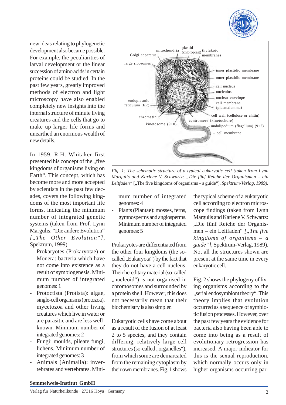

new ideas relating to phylogenetic development also became possible. For example, the peculiarities of larval development or the linear succession of amino acids in certain proteins could be studied. In the past few years, greatly improved methods of electron and light microscopy have also enabled completely new insights into the internal structure of minute living creatures and the cells that go to make up larger life forms and unearthed an enormous wealth of new details.

In 1959. R.H. Whitaker first presented his concept of the .five kingdoms of organisms living on Earth". This concept, which has become more and more accepted by scientists in the past few decades, covers the following kingdoms of the most important life forms, indicating the minimum number of integrated genetic systems (taken from Prof. Lynn Margulis: "Die andere Evolution" *["The Other Evolution"]*, Spektrum, 1999).

- Prokaryotes (Prokaryotae) or Monera: bacteria which have not come into existence as a result of symbiogenesis. Minimum number of integrated genomes: 1
- Protoctista (Protista): algae, single-cell organisms (protozoa), mycetozoa and other living creatures which live in water or are parasitic and are less wellknown. Minimum number of integrated genomes: 2
- Fungi: moulds, pileate fungi, lichens. Minimum number of integrated genomes: 3
- Animals (Animalia): invertebrates and vertebrates. Mini-



*Fig. 1: The schematic structure of a typical eukaryotic cell (taken from Lynn Margulis and Karlene V. Schwartz: "Die fünf Reiche der Organismen – ein* Leitfaden " [...The five kingdoms of organisms – a guide "*], Spektrum-Verlag, 1989*).

mum number of integrated genomes: 4

Plants (Plantae): mosses, ferns, gymnosperms and angiosperms. Minimum number of integrated genomes: 5

Prokaryotes are differentiated from the other four kingdoms (the socalled "Eukaryota") by the fact that they do not have a cell nucleus. Their hereditary material (so-called ", nucleoid") is not organised in chromosomes and surrounded by a protein shell. However, this does not necessarily mean that their biochemistry is also simpler.

Eukaryotic cells have come about as a result of the fusion of at least 2 to 5 species, and they contain differing, relatively large cell structures (so-called "organelles"), from which some are demarcated from the remaining cytoplasm by their own membranes. Fig. 1 shows

the typical scheme of a eukaryotic cell according to electron microscope findings (taken from Lynn Margulis and Karlene V. Schwartz: "Die fünf Reiche der Organismen – ein Leitfaden" [, The five *kingdoms of organisms – a guide"]*, Spektrum-Verlag, 1989). Not all the structures shown are present at the same time in every eukaryotic cell.

Fig. 2 shows the phylogeny of living organisms according to the "serial endosymbiont theory". This theory implies that evolution occurred as a sequence of symbiotic fusion processes. However, over the past few years the evidence for bacteria also having been able to come into being as a result of evolutionary retrogression has increased. A major indicator for this is the sexual reproduction, which normally occurs only in higher organisms occurring par-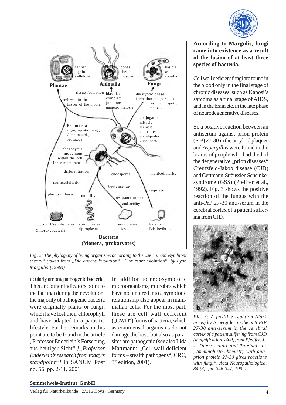



*Fig. 2: The phylogeny of living organisms according to the "serial endosymbiont theory*" (taken from "Die andere Evolution" ["The other evolution"] by Lynn *Margulis (1999))*

ticularly among pathogenic bacteria. This and other indicators point to the fact that during their evolution, the majority of pathogenic bacteria were originally plants or fungi, which have lost their chlorophyll and have adapted to a parasitic lifestyle. Further remarks on this point are to be found in the article "Professor Enderlein's Forschung aus heutiger Sicht" ["Professor *Enderlein's research from today's standpoint"]* in SANUM Post no. 56, pp. 2-11, 2001.

In addition to endosymbiotic microorganisms, microbes which have not entered into a symbiotic relationship also appear in mammalian cells. For the most part, these are cell wall deficient (..CWD") forms of bacteria, which as commensal organisms do not damage the host, but also as parasites are pathogenic (see also Lida Mattmann: "Cell wall deficient forms – stealth pathogens", CRC, 3 rd edition, 2001).

## **According to Margulis, fungi came into existence as a result of the fusion of at least three species of bacteria.**

Cell wall deficient fungi are found in the blood only in the final stage of chronic diseases, such as Kaposi's sarcoma as a final stage of AIDS, and in the brain etc. in the late phase of neurodegenerative diseases.

So a positive reaction between an antiserum against prion protein (PrP) 27-30 in the amyloid plaques and *Aspergillus* were found in the brains of people who had died of the degenerative "prion diseases" Creutzfeld-Jakob disease (CJD) and Gertmann-Sträussler-Scheinker syndrome (GSS) (Pfeiffer et al., 1992). Fig. 3 shows the positive reaction of the fungus with the anti-PrP 27-30 anti-serum in the cerebral cortex of a patient suffering from CJD.



*Fig. 3: A positive reaction (dark areas) by* Aspergillus *to the anti-PrP 27-30 anti-serum in the cerebral cortex of a patient suffering from CJD (magnification x400, from Pfeiffer, J., J. Doerr-schott and Tateishi, J.: "Immunohisto-chemistry with antiprion protein 27-30 gives reactions with fungi", Acta Neuropathologica, 84 (3), pp. 346-347, 1992).*

#### **Semmelweis-Institut GmbH**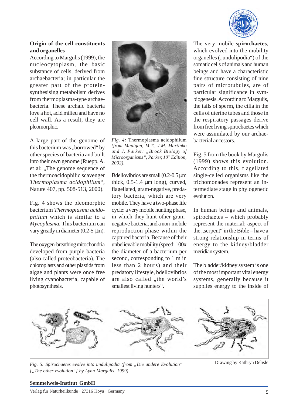

## **Origin of the cell constituents and organelles**

According to Margulis (1999), the nucleocytoplasm, the basic substance of cells, derived from archaebacteria; in particular the greater part of the proteinsynthesising metabolism derives from thermoplasma-type archaebacteria. These archaic bacteria love a hot, acid milieu and have no cell wall. As a result, they are pleomorphic.

A large part of the genome of this bacterium was "borrowed" by other species of bacteria and built into their own genome (Ruepp, A. et al: "The genome sequence of the thermoacidophilic scavenger *Thermoplasma acidophilum*", Nature 407, pp. 508-513, 2000).

Fig. 4 shows the pleomorphic bacterium *Thermoplasma acidophilum* which is similar to a *Mycoplasma.* This bacterium can vary greatly in diameter  $(0.2-5 \,\mu\text{m})$ .

The oxygen-breathing mitochondria developed from purple bacteria (also called proteobacteria). The chloroplasts and other plastids from algae and plants were once free living cyanobacteria, capable of photosynthesis.



*Fig. 4:* Thermoplasma acidophilum *(from Madigan, M.T., J.M. Martinko and J. Parker: "Brock Biology of Microorganisms", Parker, 10th Edition, 2002).*

Bdellovibrios are small (0.2-0.5 µm thick,  $0.5$ -1.4  $\mu$ m long), curved, flagellated, gram-negative, predatory bacteria, which are very mobile. They have a two-phase life cycle: a very mobile hunting phase, in which they hunt other gramnegative bacteria, and a non-mobile reproduction phase within the captured bacteria. Because of their unbelievable mobility (speed: 100x the diameter of a bacterium per second, corresponding to 1 m in less than 2 hours) and their predatory lifestyle, bdellovibrios are also called "the world's smallest living hunters".

The very mobile **spirochaetes**, which evolved into the mobility organelles ("undulipodia") of the somatic cells of animals and human beings and have a characteristic fine structure consisting of nine pairs of microtubules, are of particular significance in symbiogenesis. According to Margulis, the tails of sperm, the cilia in the cells of uterine tubes and those in the respiratory passages derive from free living spirochaetes which were assimilated by our archaebacterial ancestors.

Fig. 5 from the book by Margulis (1999) shows this evolution. According to this, flagellated single-celled organisms like the trichomonades represent an intermediate stage in phylogenetic evolution.

In human beings and animals, spirochaetes – which probably represent the material; aspect of the ..serpent" in the Bible – have a strong relationship in terms of energy to the kidney/bladder meridian system.

The bladder/kidney system is one of the most important vital energy systems, generally because it supplies energy to the inside of



*Fig. 5: Spirochaetes evolve into undulipodia (from "Die andere Evolution"* ["The other evolution"] by Lynn Margulis, 1999)

Drawing by Kathryn Delisle

#### **Semmelweis-Institut GmbH**

Verlag für Naturheilkunde · 27316 Hoya · Germany 5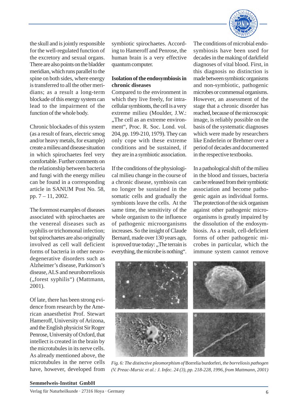

the skull and is jointly responsible for the well-regulated function of the excretory and sexual organs. There are also points on the bladder meridian, which runs parallel to the spine on both sides, where energy is transferred to all the other meridians; as a result a long-term blockade of this energy system can lead to the impairment of the function of the whole body.

Chronic blockades of this system (as a result of fears, electric smog and/or heavy metals, for example) create a milieu and disease situation in which spirochaetes feel very comfortable. Further comments on the relationship between bacteria and fungi with the energy milieu can be found in a corresponding article in SANUM Post No. 58, pp. 7 – 11, 2002.

The foremost examples of diseases associated with spirochaetes are the venereal diseases such as syphilis or trichomonal infection; but spirochaetes are also originally involved as cell wall deficient forms of bacteria in other neurodegenerative disorders such as Alzheimer's disease, Parkinson's disease, ALS and neuroborreliosis ("forest syphilis") (Mattmann, 2001).

Of late, there has been strong evidence from research by the American anaesthetist Prof. Stewart Hameroff, University of Arizona, and the English physicist Sir Roger Penrose, University of Oxford, that intellect is created in the brain by the microtubules in its nerve cells. As already mentioned above, the microtubules in the nerve cells have, however, developed from

symbiotic spirochaetes. According to Hameroff and Penrose, the human brain is a very effective quantum computer.

## **Isolation of the endosymbiosis in chronic diseases**

Compared to the environment in which they live freely, for intracellular symbionts, the cell is a very extreme milieu (Moulder, J.W.: ..The cell as an extreme environment", Proc. R. Soc. Lond. vol. 204, pp. 199-210, 1979). They can only cope with these extreme conditions and be sustained, if they are in a symbiotic association.

If the conditions of the physiological milieu change in the course of a chronic disease, symbiosis can no longer be sustained in the somatic cells and gradually the symbionts leave the cells. At the same time, the sensitivity of the whole organism to the influence of pathogenic microorganisms increases. So the insight of Claude Bernard, made over 130 years ago, is proved true today: "The terrain is everything, the microbe is nothing".

The conditions of microbial endosymbiosis have been used for decades in the making of darkfield diagnoses of vital blood. First, in this diagnosis no distinction is made between symbiotic organisms and non-symbiotic, pathogenic microbes or commensal organisms. However, an assessment of the stage that a chronic disorder has reached, because of the microscopic image, is reliably possible on the basis of the systematic diagnoses which were made by researchers like Enderlein or Brehmer over a period of decades and documented in the respective textbooks.

In a pathological shift of the milieu in the blood and tissues, bacteria can be released from their symbiotic association and become pathogenic again as individual forms. The protection of the sick organism against other pathogenic microorganisms is greatly impaired by the dissolution of the endosymbiosis. As a result, cell-deficient forms of other pathogenic microbes in particular, which the immune system cannot remove



*Fig. 6: The distinctive pleomorphism of* Borrelia burdorferi*, the borreliosis pathogen (V. Preac-Mursic et al.: J. Infec. 24 (3), pp. 218-228, 1996, from Mattmann, 2001)*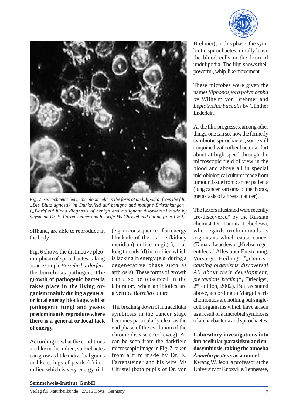



*Fig. 7: spirochaetes leave the blood cells in the form of undulipodia (from the film "Die Blutdiagnostik im Dunkelfeld auf benigne und maligne Erkrankungen" ["Darkfield blood diagnosis of benign and malignant disorders"] made by physician Dr. E. Farrensteiner and his wife Ms Christel and dating from 1959)*

offhand, are able to reproduce in the body.

Fig. 6 shows the distinctive pleomorphism of spirochaetes, taking as an example *Borrelia burdorferi*, the borreliosis pathogen. **The growth of pathogenic bacteria takes place in the living organism mainly during a general or local energy blockage, whilst pathogenic fungi and yeasts predominantly reproduce where there is a general or local lack of energy.**

According to what the conditions are like in the milieu, spirochaetes can grow as little individual grains or like strings of pearls (a) in a milieu which is very energy-rich

(e.g. in consequence of an energy blockade of the bladder/kidney meridian), or like fungi (c), or as long threads (d) in a milieu which is lacking in energy (e.g. during a degenerative phase such as arthrosis). These forms of growth can also be observed in the laboratory when antibiotics are given to a *Borrelia* culture.

The breaking down of intracellular symbiosis in the cancer stage becomes particularly clear as the end phase of the evolution of the chronic disease (Reckeweg). As can be seen from the darkfield microscopic image in Fig. 7, taken from a film made by Dr. E. Farrensteiner and his wife Ms Christel (both pupils of Dr. von

Brehmer), in this phase, the symbiotic spirochaetes initially leave the blood cells in the form of undulipodia. The film shows their powerful, whip-like movement.

These microbes were given the names *Siphonospora polymorpha* by Wilhelm von Brehmer and *Leptotrichia buccalis* by Günther Enderlein.

As the film progresses, among other things, one can see how the formerly symbiotic spirochaetes, some still conjoined with other bacteria, dart about at high speed through the microscopic field of view in the blood and above all in special microbiological cultures made from tumour tissue from cancer patients (lung cancer, sarcoma of the thorax, metastasis of a breast cancer).

The factors illustrated were recently "re-discovered" by the Russian chemist Dr. Tamara Lebedewa, who regards trichomonads as organisms which cause cancer (Tamara Lebedewa: "Krebserreger entdeckt! Alles über Entstehung, Vorsorge, Heilung" ["Cancer*causing organisms discovered! All about their development, precautions, healing"],* Driediger, 2 nd edition, 2002). But, as stated above, according to Margulis trichomonads are nothing but singlecell organisms which have arisen as a result of a microbial symbiosis of archaebacteria and spirochaetes.

## **Laboratory investigations into intracellular parasitism and endosymbiosis, taking the amoeba** *Amoeba proteus* **as a model**

Kwang W. Jeon, a professor at the University of Knoxville, Tennessee,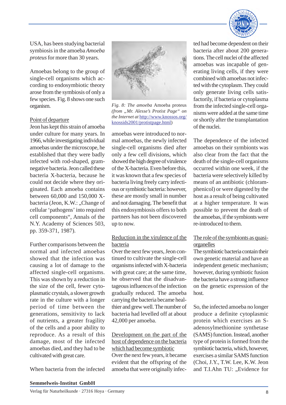

USA, has been studying bacterial symbiosis in the amoeba *Amoeba proteus* for more than 30 years.

Amoebas belong to the group of single-cell organisms which according to endosymbiotic theory arose from the symbiosis of only a few species. Fig. 8 shows one such organism.

#### Point of departure

Jeon has kept this strain of amoeba under culture for many years. In 1966, while investigating individual amoebas under the microscope, he established that they were badly infected with rod-shaped, gramnegative bacteria. Jeon called these bacteria X-bacteria, because he could not decide where they originated. Each amoeba contains between 60,000 and 150,000 Xbacteria (Jeon, K.W.: "Change of cellular 'pathogens' into required cell components", Annals of the N.Y. Academy of Sciences 503, pp. 359-371, 1987).

Further comparisons between the normal and infected amoebas showed that the infection was causing a lot of damage to the affected single-cell organisms. This was shown by a reduction in the size of the cell, fewer cytoplasmatic crystals, a slower growth rate in the culture with a longer period of time between the generations, sensitivity to lack of nutrients, a greater fragility of the cells and a poor ability to reproduce. As a result of this damage, most of the infected amoebas died, and they had to be cultivated with great care.

When bacteria from the infected



*Fig. 8: The amoeba* Amoeba proteus *(from "Mr. Alesse's Protist Page" on the Internet at* http://www.knossos.org/ knossids2001/protistpage.html)

amoebas were introduced to normal amoebas, the newly infected single-cell organisms died after only a few cell divisions, which showed the high degree of virulence of the X-bacteria. Even before this, it was known that a few species of bacteria living freely carry infectious or symbiotic bacteria: however, these are mostly small in number and not damaging. The benefit that this endosymbiosis offers to both partners has not been discovered up to now.

## Reduction in the virulence of the bacteria

Over the next few years, Jeon continued to cultivate the single-cell organisms infected with X-bacteria with great care; at the same time, he observed that the disadvantageous influences of the infection gradually reduced. The amoeba carrying the bacteria became healthier and grew well. The number of bacteria had levelled off at about 42,000 per amoeba.

## Development on the part of the host of dependence on the bacteria which had become symbiotic

Over the next few years, it became evident that the offspring of the amoeba that were originally infec-

ted had become dependent on their bacteria after about 200 generations. The cell nuclei of the affected amoebas was incapable of generating living cells, if they were combined with amoebas not infected with the cytoplasm. They could only generate living cells satisfactorily, if bacteria or cytoplasma from the infected single-cell organisms were added at the same time or shortly after the transplantation of the nuclei.

The dependence of the infected amoebas on their symbionts was also clear from the fact that the death of the single-cell organisms occurred within one week, if the bacteria were selectively killed by means of an antibiotic (chloramphenicol) or were digested by the host as a result of being cultivated at a higher temperature. It was possible to prevent the death of the amoebas, if the symbionts were re-introduced to them.

## The role of the symbionts as quasiorganelles

The symbiotic bacteria contain their own genetic material and have an independent genetic mechanism; however, during symbiotic fusion the bacteria have a strong influence on the genetic expression of the host.

So, the infected amoeba no longer produce a definite cytoplasmic protein which exercises an Sadenosylmethionine synthetase (SAMS) function. Instead, another type of protein is formed from the symbiotic bacteria, which, however, exercises a similar SAMS function (Choi, J.Y., T.W. Lee, K.W. Jeon and T.I.Ahn TU: "Evidence for